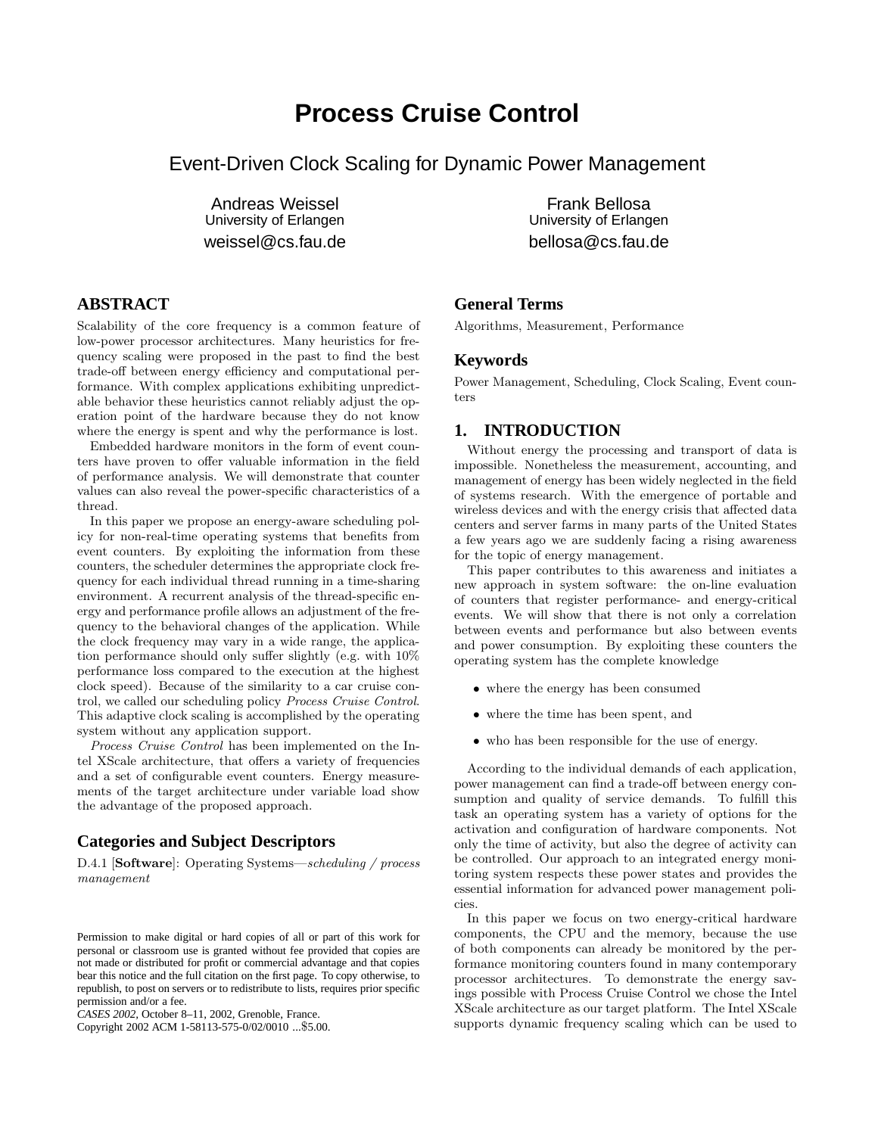# **Process Cruise Control**

Event-Driven Clock Scaling for Dynamic Power Management

Andreas Weissel University of Erlangen weissel@cs.fau.de

## **ABSTRACT**

Scalability of the core frequency is a common feature of low-power processor architectures. Many heuristics for frequency scaling were proposed in the past to find the best trade-off between energy efficiency and computational performance. With complex applications exhibiting unpredictable behavior these heuristics cannot reliably adjust the operation point of the hardware because they do not know where the energy is spent and why the performance is lost.

Embedded hardware monitors in the form of event counters have proven to offer valuable information in the field of performance analysis. We will demonstrate that counter values can also reveal the power-specific characteristics of a thread.

In this paper we propose an energy-aware scheduling policy for non-real-time operating systems that benefits from event counters. By exploiting the information from these counters, the scheduler determines the appropriate clock frequency for each individual thread running in a time-sharing environment. A recurrent analysis of the thread-specific energy and performance profile allows an adjustment of the frequency to the behavioral changes of the application. While the clock frequency may vary in a wide range, the application performance should only suffer slightly (e.g. with 10% performance loss compared to the execution at the highest clock speed). Because of the similarity to a car cruise control, we called our scheduling policy Process Cruise Control. This adaptive clock scaling is accomplished by the operating system without any application support.

Process Cruise Control has been implemented on the Intel XScale architecture, that offers a variety of frequencies and a set of configurable event counters. Energy measurements of the target architecture under variable load show the advantage of the proposed approach.

## **Categories and Subject Descriptors**

D.4.1 [**Software**]: Operating Systems—scheduling / process management

Copyright 2002 ACM 1-58113-575-0/02/0010 ...\$5.00.

Frank Bellosa University of Erlangen bellosa@cs.fau.de

## **General Terms**

Algorithms, Measurement, Performance

#### **Keywords**

Power Management, Scheduling, Clock Scaling, Event counters

## **1. INTRODUCTION**

Without energy the processing and transport of data is impossible. Nonetheless the measurement, accounting, and management of energy has been widely neglected in the field of systems research. With the emergence of portable and wireless devices and with the energy crisis that affected data centers and server farms in many parts of the United States a few years ago we are suddenly facing a rising awareness for the topic of energy management.

This paper contributes to this awareness and initiates a new approach in system software: the on-line evaluation of counters that register performance- and energy-critical events. We will show that there is not only a correlation between events and performance but also between events and power consumption. By exploiting these counters the operating system has the complete knowledge

- *•* where the energy has been consumed
- *•* where the time has been spent, and
- *•* who has been responsible for the use of energy.

According to the individual demands of each application, power management can find a trade-off between energy consumption and quality of service demands. To fulfill this task an operating system has a variety of options for the activation and configuration of hardware components. Not only the time of activity, but also the degree of activity can be controlled. Our approach to an integrated energy monitoring system respects these power states and provides the essential information for advanced power management policies.

In this paper we focus on two energy-critical hardware components, the CPU and the memory, because the use of both components can already be monitored by the performance monitoring counters found in many contemporary processor architectures. To demonstrate the energy savings possible with Process Cruise Control we chose the Intel XScale architecture as our target platform. The Intel XScale supports dynamic frequency scaling which can be used to

Permission to make digital or hard copies of all or part of this work for personal or classroom use is granted without fee provided that copies are not made or distributed for profit or commercial advantage and that copies bear this notice and the full citation on the first page. To copy otherwise, to republish, to post on servers or to redistribute to lists, requires prior specific permission and/or a fee.

*CASES 2002,* October 8–11, 2002, Grenoble, France.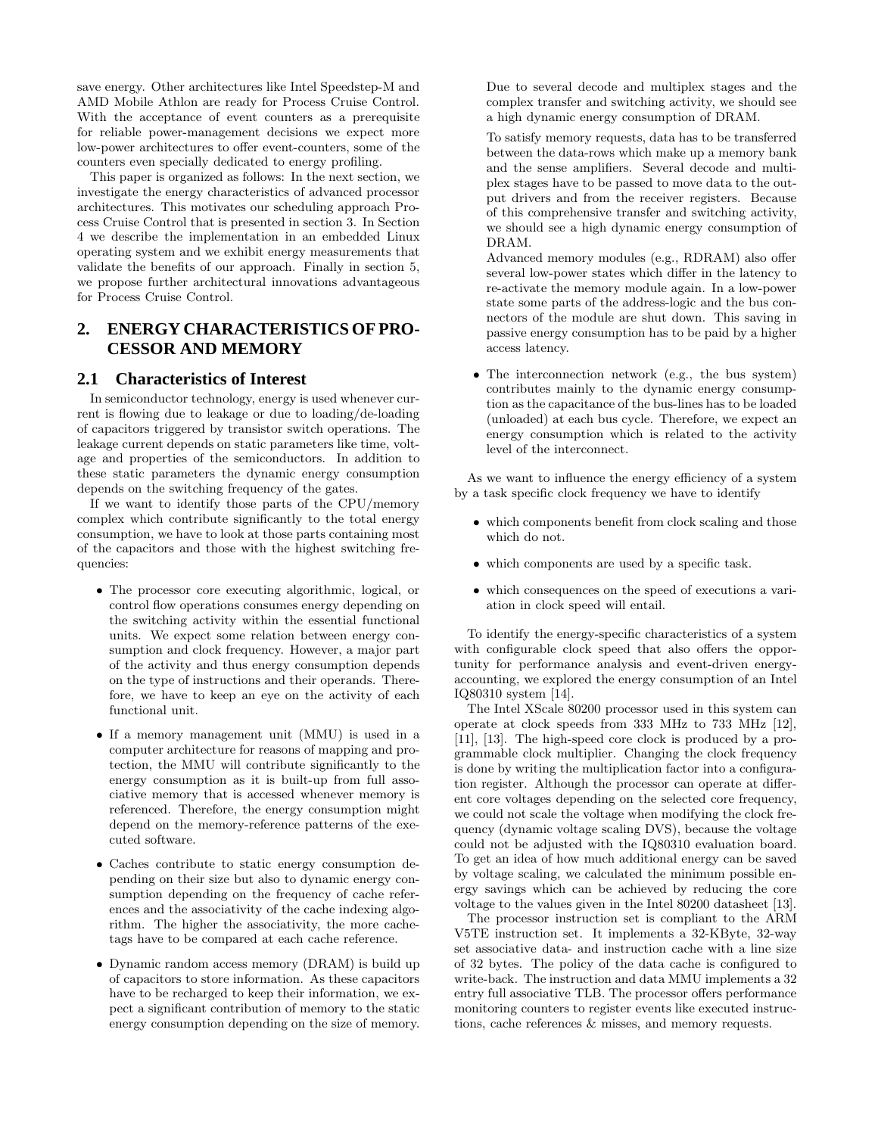save energy. Other architectures like Intel Speedstep-M and AMD Mobile Athlon are ready for Process Cruise Control. With the acceptance of event counters as a prerequisite for reliable power-management decisions we expect more low-power architectures to offer event-counters, some of the counters even specially dedicated to energy profiling.

This paper is organized as follows: In the next section, we investigate the energy characteristics of advanced processor architectures. This motivates our scheduling approach Process Cruise Control that is presented in section 3. In Section 4 we describe the implementation in an embedded Linux operating system and we exhibit energy measurements that validate the benefits of our approach. Finally in section 5, we propose further architectural innovations advantageous for Process Cruise Control.

## **2. ENERGY CHARACTERISTICS OF PRO-CESSOR AND MEMORY**

#### **2.1 Characteristics of Interest**

In semiconductor technology, energy is used whenever current is flowing due to leakage or due to loading/de-loading of capacitors triggered by transistor switch operations. The leakage current depends on static parameters like time, voltage and properties of the semiconductors. In addition to these static parameters the dynamic energy consumption depends on the switching frequency of the gates.

If we want to identify those parts of the CPU/memory complex which contribute significantly to the total energy consumption, we have to look at those parts containing most of the capacitors and those with the highest switching frequencies:

- The processor core executing algorithmic, logical, or control flow operations consumes energy depending on the switching activity within the essential functional units. We expect some relation between energy consumption and clock frequency. However, a major part of the activity and thus energy consumption depends on the type of instructions and their operands. Therefore, we have to keep an eye on the activity of each functional unit.
- *•* If a memory management unit (MMU) is used in a computer architecture for reasons of mapping and protection, the MMU will contribute significantly to the energy consumption as it is built-up from full associative memory that is accessed whenever memory is referenced. Therefore, the energy consumption might depend on the memory-reference patterns of the executed software.
- *•* Caches contribute to static energy consumption depending on their size but also to dynamic energy consumption depending on the frequency of cache references and the associativity of the cache indexing algorithm. The higher the associativity, the more cachetags have to be compared at each cache reference.
- Dynamic random access memory (DRAM) is build up of capacitors to store information. As these capacitors have to be recharged to keep their information, we expect a significant contribution of memory to the static energy consumption depending on the size of memory.

Due to several decode and multiplex stages and the complex transfer and switching activity, we should see a high dynamic energy consumption of DRAM.

To satisfy memory requests, data has to be transferred between the data-rows which make up a memory bank and the sense amplifiers. Several decode and multiplex stages have to be passed to move data to the output drivers and from the receiver registers. Because of this comprehensive transfer and switching activity, we should see a high dynamic energy consumption of DRAM.

Advanced memory modules (e.g., RDRAM) also offer several low-power states which differ in the latency to re-activate the memory module again. In a low-power state some parts of the address-logic and the bus connectors of the module are shut down. This saving in passive energy consumption has to be paid by a higher access latency.

• The interconnection network (e.g., the bus system) contributes mainly to the dynamic energy consumption as the capacitance of the bus-lines has to be loaded (unloaded) at each bus cycle. Therefore, we expect an energy consumption which is related to the activity level of the interconnect.

As we want to influence the energy efficiency of a system by a task specific clock frequency we have to identify

- which components benefit from clock scaling and those which do not.
- which components are used by a specific task.
- *•* which consequences on the speed of executions a variation in clock speed will entail.

To identify the energy-specific characteristics of a system with configurable clock speed that also offers the opportunity for performance analysis and event-driven energyaccounting, we explored the energy consumption of an Intel IQ80310 system [14].

The Intel XScale 80200 processor used in this system can operate at clock speeds from 333 MHz to 733 MHz [12], [11], [13]. The high-speed core clock is produced by a programmable clock multiplier. Changing the clock frequency is done by writing the multiplication factor into a configuration register. Although the processor can operate at different core voltages depending on the selected core frequency, we could not scale the voltage when modifying the clock frequency (dynamic voltage scaling DVS), because the voltage could not be adjusted with the IQ80310 evaluation board. To get an idea of how much additional energy can be saved by voltage scaling, we calculated the minimum possible energy savings which can be achieved by reducing the core voltage to the values given in the Intel 80200 datasheet [13].

The processor instruction set is compliant to the ARM V5TE instruction set. It implements a 32-KByte, 32-way set associative data- and instruction cache with a line size of 32 bytes. The policy of the data cache is configured to write-back. The instruction and data MMU implements a 32 entry full associative TLB. The processor offers performance monitoring counters to register events like executed instructions, cache references & misses, and memory requests.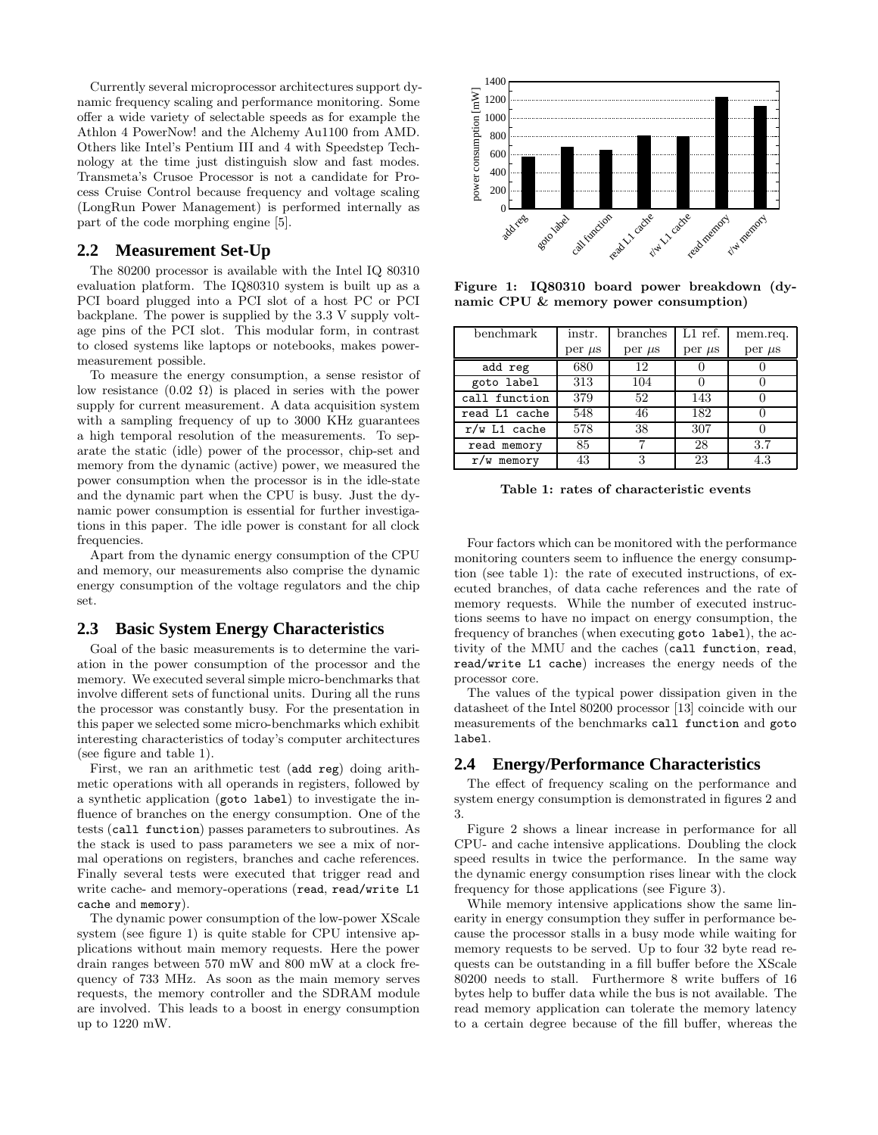Currently several microprocessor architectures support dynamic frequency scaling and performance monitoring. Some offer a wide variety of selectable speeds as for example the Athlon 4 PowerNow! and the Alchemy Au1100 from AMD. Others like Intel's Pentium III and 4 with Speedstep Technology at the time just distinguish slow and fast modes. Transmeta's Crusoe Processor is not a candidate for Process Cruise Control because frequency and voltage scaling (LongRun Power Management) is performed internally as part of the code morphing engine [5].

### **2.2 Measurement Set-Up**

The 80200 processor is available with the Intel IQ 80310 evaluation platform. The IQ80310 system is built up as a PCI board plugged into a PCI slot of a host PC or PCI backplane. The power is supplied by the 3.3 V supply voltage pins of the PCI slot. This modular form, in contrast to closed systems like laptops or notebooks, makes powermeasurement possible.

To measure the energy consumption, a sense resistor of low resistance (0.02 Ω) is placed in series with the power supply for current measurement. A data acquisition system with a sampling frequency of up to 3000 KHz guarantees a high temporal resolution of the measurements. To separate the static (idle) power of the processor, chip-set and memory from the dynamic (active) power, we measured the power consumption when the processor is in the idle-state and the dynamic part when the CPU is busy. Just the dynamic power consumption is essential for further investigations in this paper. The idle power is constant for all clock frequencies.

Apart from the dynamic energy consumption of the CPU and memory, our measurements also comprise the dynamic energy consumption of the voltage regulators and the chip set.

#### **2.3 Basic System Energy Characteristics**

Goal of the basic measurements is to determine the variation in the power consumption of the processor and the memory. We executed several simple micro-benchmarks that involve different sets of functional units. During all the runs the processor was constantly busy. For the presentation in this paper we selected some micro-benchmarks which exhibit interesting characteristics of today's computer architectures (see figure and table 1).

First, we ran an arithmetic test (add reg) doing arithmetic operations with all operands in registers, followed by a synthetic application (goto label) to investigate the influence of branches on the energy consumption. One of the tests (call function) passes parameters to subroutines. As the stack is used to pass parameters we see a mix of normal operations on registers, branches and cache references. Finally several tests were executed that trigger read and write cache- and memory-operations (read, read/write L1 cache and memory).

The dynamic power consumption of the low-power XScale system (see figure 1) is quite stable for CPU intensive applications without main memory requests. Here the power drain ranges between 570 mW and 800 mW at a clock frequency of 733 MHz. As soon as the main memory serves requests, the memory controller and the SDRAM module are involved. This leads to a boost in energy consumption up to 1220 mW.



**Figure 1: IQ80310 board power breakdown (dynamic CPU & memory power consumption)**

| benchmark      | instr.      | branches    | $L1$ ref.   | mem.req.    |  |
|----------------|-------------|-------------|-------------|-------------|--|
|                | $per \mu s$ | per $\mu$ s | per $\mu$ s | per $\mu$ s |  |
| add reg        | 680         | 12          |             |             |  |
| goto label     | 313         | 104         |             |             |  |
| call function  | 379         | 52          | 143         |             |  |
| read L1 cache  | 548         | 46          | 182         |             |  |
| $r/w$ L1 cache | 578         | 38          | 307         |             |  |
| read memory    | 85          |             | 28          | 3.7         |  |
| $r/w$ memory   | 43          | 3           | 23          | 4.3         |  |

**Table 1: rates of characteristic events**

Four factors which can be monitored with the performance monitoring counters seem to influence the energy consumption (see table 1): the rate of executed instructions, of executed branches, of data cache references and the rate of memory requests. While the number of executed instructions seems to have no impact on energy consumption, the frequency of branches (when executing goto label), the activity of the MMU and the caches (call function, read, read/write L1 cache) increases the energy needs of the processor core.

The values of the typical power dissipation given in the datasheet of the Intel 80200 processor [13] coincide with our measurements of the benchmarks call function and goto label.

## **2.4 Energy/Performance Characteristics**

The effect of frequency scaling on the performance and system energy consumption is demonstrated in figures 2 and 3.

Figure 2 shows a linear increase in performance for all CPU- and cache intensive applications. Doubling the clock speed results in twice the performance. In the same way the dynamic energy consumption rises linear with the clock frequency for those applications (see Figure 3).

While memory intensive applications show the same linearity in energy consumption they suffer in performance because the processor stalls in a busy mode while waiting for memory requests to be served. Up to four 32 byte read requests can be outstanding in a fill buffer before the XScale 80200 needs to stall. Furthermore 8 write buffers of 16 bytes help to buffer data while the bus is not available. The read memory application can tolerate the memory latency to a certain degree because of the fill buffer, whereas the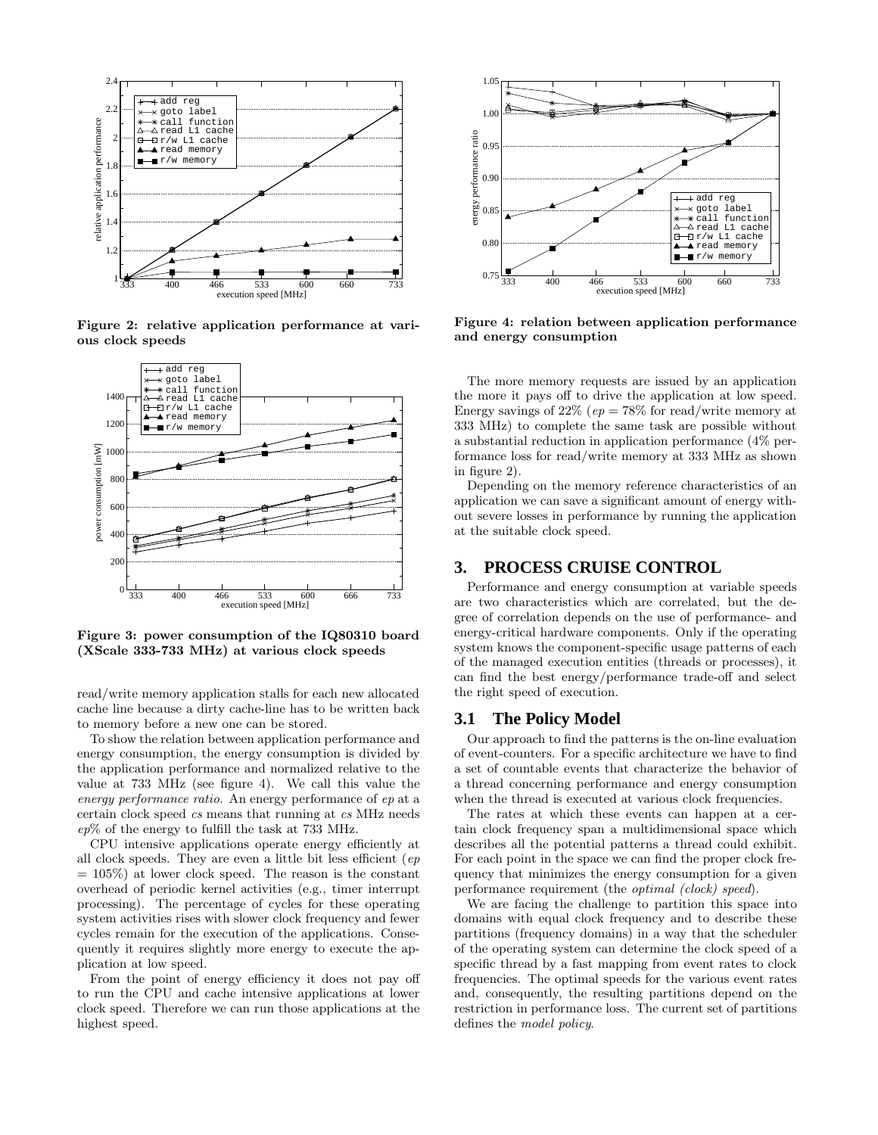

**Figure 2: relative application performance at various clock speeds**



**Figure 3: power consumption of the IQ80310 board (XScale 333-733 MHz) at various clock speeds**

read/write memory application stalls for each new allocated cache line because a dirty cache-line has to be written back to memory before a new one can be stored.

To show the relation between application performance and energy consumption, the energy consumption is divided by the application performance and normalized relative to the value at 733 MHz (see figure 4). We call this value the energy performance ratio. An energy performance of ep at a certain clock speed cs means that running at cs MHz needs ep% of the energy to fulfill the task at 733 MHz.

CPU intensive applications operate energy efficiently at all clock speeds. They are even a little bit less efficient  $(ep)$  $= 105\%$ ) at lower clock speed. The reason is the constant overhead of periodic kernel activities (e.g., timer interrupt processing). The percentage of cycles for these operating system activities rises with slower clock frequency and fewer cycles remain for the execution of the applications. Consequently it requires slightly more energy to execute the application at low speed.

From the point of energy efficiency it does not pay off to run the CPU and cache intensive applications at lower clock speed. Therefore we can run those applications at the highest speed.



**Figure 4: relation between application performance and energy consumption**

The more memory requests are issued by an application the more it pays off to drive the application at low speed. Energy savings of  $22\%$  (ep = 78% for read/write memory at 333 MHz) to complete the same task are possible without a substantial reduction in application performance (4% performance loss for read/write memory at 333 MHz as shown in figure 2).

Depending on the memory reference characteristics of an application we can save a significant amount of energy without severe losses in performance by running the application at the suitable clock speed.

## **3. PROCESS CRUISE CONTROL**

Performance and energy consumption at variable speeds are two characteristics which are correlated, but the degree of correlation depends on the use of performance- and energy-critical hardware components. Only if the operating system knows the component-specific usage patterns of each of the managed execution entities (threads or processes), it can find the best energy/performance trade-off and select the right speed of execution.

## **3.1 The Policy Model**

Our approach to find the patterns is the on-line evaluation of event-counters. For a specific architecture we have to find a set of countable events that characterize the behavior of a thread concerning performance and energy consumption when the thread is executed at various clock frequencies.

The rates at which these events can happen at a certain clock frequency span a multidimensional space which describes all the potential patterns a thread could exhibit. For each point in the space we can find the proper clock frequency that minimizes the energy consumption for a given performance requirement (the optimal (clock) speed).

We are facing the challenge to partition this space into domains with equal clock frequency and to describe these partitions (frequency domains) in a way that the scheduler of the operating system can determine the clock speed of a specific thread by a fast mapping from event rates to clock frequencies. The optimal speeds for the various event rates and, consequently, the resulting partitions depend on the restriction in performance loss. The current set of partitions defines the model policy.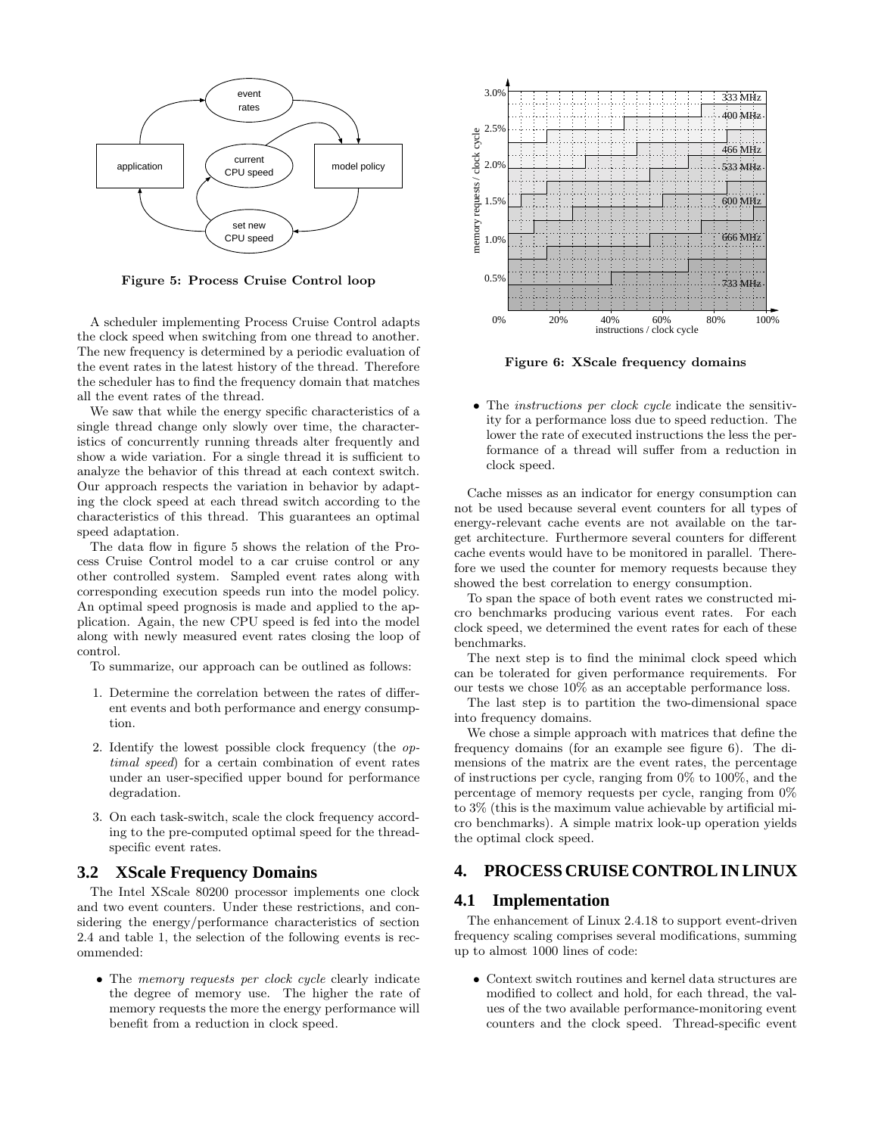

**Figure 5: Process Cruise Control loop**

A scheduler implementing Process Cruise Control adapts the clock speed when switching from one thread to another. The new frequency is determined by a periodic evaluation of the event rates in the latest history of the thread. Therefore the scheduler has to find the frequency domain that matches all the event rates of the thread.

We saw that while the energy specific characteristics of a single thread change only slowly over time, the characteristics of concurrently running threads alter frequently and show a wide variation. For a single thread it is sufficient to analyze the behavior of this thread at each context switch. Our approach respects the variation in behavior by adapting the clock speed at each thread switch according to the characteristics of this thread. This guarantees an optimal speed adaptation.

The data flow in figure 5 shows the relation of the Process Cruise Control model to a car cruise control or any other controlled system. Sampled event rates along with corresponding execution speeds run into the model policy. An optimal speed prognosis is made and applied to the application. Again, the new CPU speed is fed into the model along with newly measured event rates closing the loop of control.

To summarize, our approach can be outlined as follows:

- 1. Determine the correlation between the rates of different events and both performance and energy consumption.
- 2. Identify the lowest possible clock frequency (the optimal speed) for a certain combination of event rates under an user-specified upper bound for performance degradation.
- 3. On each task-switch, scale the clock frequency according to the pre-computed optimal speed for the threadspecific event rates.

### **3.2 XScale Frequency Domains**

The Intel XScale 80200 processor implements one clock and two event counters. Under these restrictions, and considering the energy/performance characteristics of section 2.4 and table 1, the selection of the following events is recommended:

• The *memory requests per clock cycle* clearly indicate the degree of memory use. The higher the rate of memory requests the more the energy performance will benefit from a reduction in clock speed.



**Figure 6: XScale frequency domains**

• The *instructions per clock cycle* indicate the sensitivity for a performance loss due to speed reduction. The lower the rate of executed instructions the less the performance of a thread will suffer from a reduction in clock speed.

Cache misses as an indicator for energy consumption can not be used because several event counters for all types of energy-relevant cache events are not available on the target architecture. Furthermore several counters for different cache events would have to be monitored in parallel. Therefore we used the counter for memory requests because they showed the best correlation to energy consumption.

To span the space of both event rates we constructed micro benchmarks producing various event rates. For each clock speed, we determined the event rates for each of these benchmarks.

The next step is to find the minimal clock speed which can be tolerated for given performance requirements. For our tests we chose 10% as an acceptable performance loss.

The last step is to partition the two-dimensional space into frequency domains.

We chose a simple approach with matrices that define the frequency domains (for an example see figure 6). The dimensions of the matrix are the event rates, the percentage of instructions per cycle, ranging from 0% to 100%, and the percentage of memory requests per cycle, ranging from 0% to 3% (this is the maximum value achievable by artificial micro benchmarks). A simple matrix look-up operation yields the optimal clock speed.

## **4. PROCESS CRUISE CONTROL IN LINUX**

#### **4.1 Implementation**

The enhancement of Linux 2.4.18 to support event-driven frequency scaling comprises several modifications, summing up to almost 1000 lines of code:

*•* Context switch routines and kernel data structures are modified to collect and hold, for each thread, the values of the two available performance-monitoring event counters and the clock speed. Thread-specific event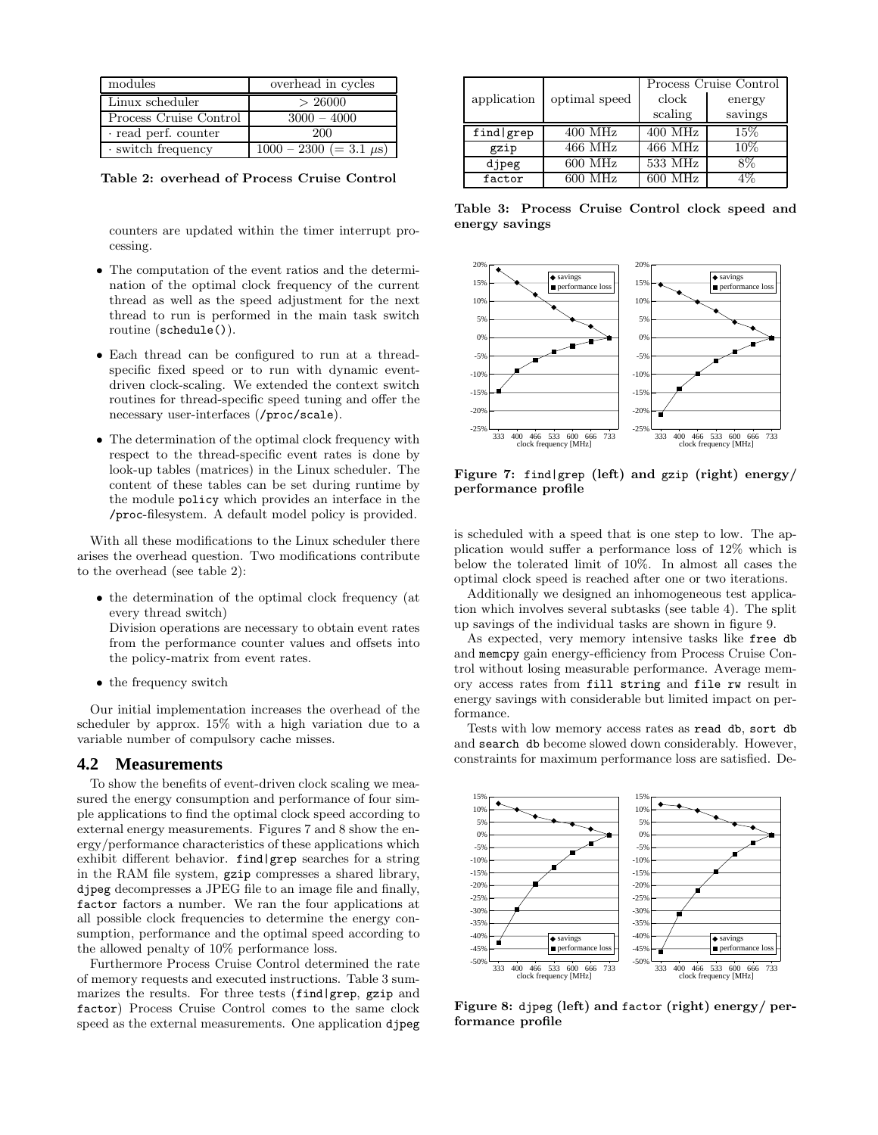| modules                | overhead in cycles          |
|------------------------|-----------------------------|
| Linux scheduler        | > 26000                     |
| Process Cruise Control | $3000 - 4000$               |
| eread perf. counter    | 200                         |
| switch frequency       | $1000 - 2300 (= 3.1 \mu s)$ |

**Table 2: overhead of Process Cruise Control**

counters are updated within the timer interrupt processing.

- *•* The computation of the event ratios and the determination of the optimal clock frequency of the current thread as well as the speed adjustment for the next thread to run is performed in the main task switch routine (schedule()).
- *•* Each thread can be configured to run at a threadspecific fixed speed or to run with dynamic eventdriven clock-scaling. We extended the context switch routines for thread-specific speed tuning and offer the necessary user-interfaces (/proc/scale).
- The determination of the optimal clock frequency with respect to the thread-specific event rates is done by look-up tables (matrices) in the Linux scheduler. The content of these tables can be set during runtime by the module policy which provides an interface in the /proc-filesystem. A default model policy is provided.

With all these modifications to the Linux scheduler there arises the overhead question. Two modifications contribute to the overhead (see table 2):

- the determination of the optimal clock frequency (at every thread switch) Division operations are necessary to obtain event rates from the performance counter values and offsets into the policy-matrix from event rates.
- the frequency switch

Our initial implementation increases the overhead of the scheduler by approx. 15% with a high variation due to a variable number of compulsory cache misses.

## **4.2 Measurements**

To show the benefits of event-driven clock scaling we measured the energy consumption and performance of four simple applications to find the optimal clock speed according to external energy measurements. Figures 7 and 8 show the energy/performance characteristics of these applications which exhibit different behavior. find|grep searches for a string in the RAM file system, gzip compresses a shared library, djpeg decompresses a JPEG file to an image file and finally, factor factors a number. We ran the four applications at all possible clock frequencies to determine the energy consumption, performance and the optimal speed according to the allowed penalty of 10% performance loss.

Furthermore Process Cruise Control determined the rate of memory requests and executed instructions. Table 3 summarizes the results. For three tests (find|grep, gzip and factor) Process Cruise Control comes to the same clock speed as the external measurements. One application djpeg

|             |               | Process Cruise Control |         |  |  |
|-------------|---------------|------------------------|---------|--|--|
| application | optimal speed | clock                  | energy  |  |  |
|             |               | scaling                | savings |  |  |
| find grep   | $400$ MHz     | $400$ MHz              | 15%     |  |  |
| gzip        | $466$ MHz     | $466$ MHz              | 10%     |  |  |
| djpeg       | $600$ MHz     | 533 MHz                | 8%      |  |  |
| factor      | $600$ MHz     | $600$ MHz              |         |  |  |

**Table 3: Process Cruise Control clock speed and energy savings**



**Figure 7:** find|grep **(left) and** gzip **(right) energy/ performance profile**

is scheduled with a speed that is one step to low. The application would suffer a performance loss of 12% which is below the tolerated limit of 10%. In almost all cases the optimal clock speed is reached after one or two iterations.

Additionally we designed an inhomogeneous test application which involves several subtasks (see table 4). The split up savings of the individual tasks are shown in figure 9.

As expected, very memory intensive tasks like free db and memcpy gain energy-efficiency from Process Cruise Control without losing measurable performance. Average memory access rates from fill string and file rw result in energy savings with considerable but limited impact on performance.

Tests with low memory access rates as read db, sort db and search db become slowed down considerably. However, constraints for maximum performance loss are satisfied. De-



**Figure 8:** djpeg **(left) and** factor **(right) energy/ performance profile**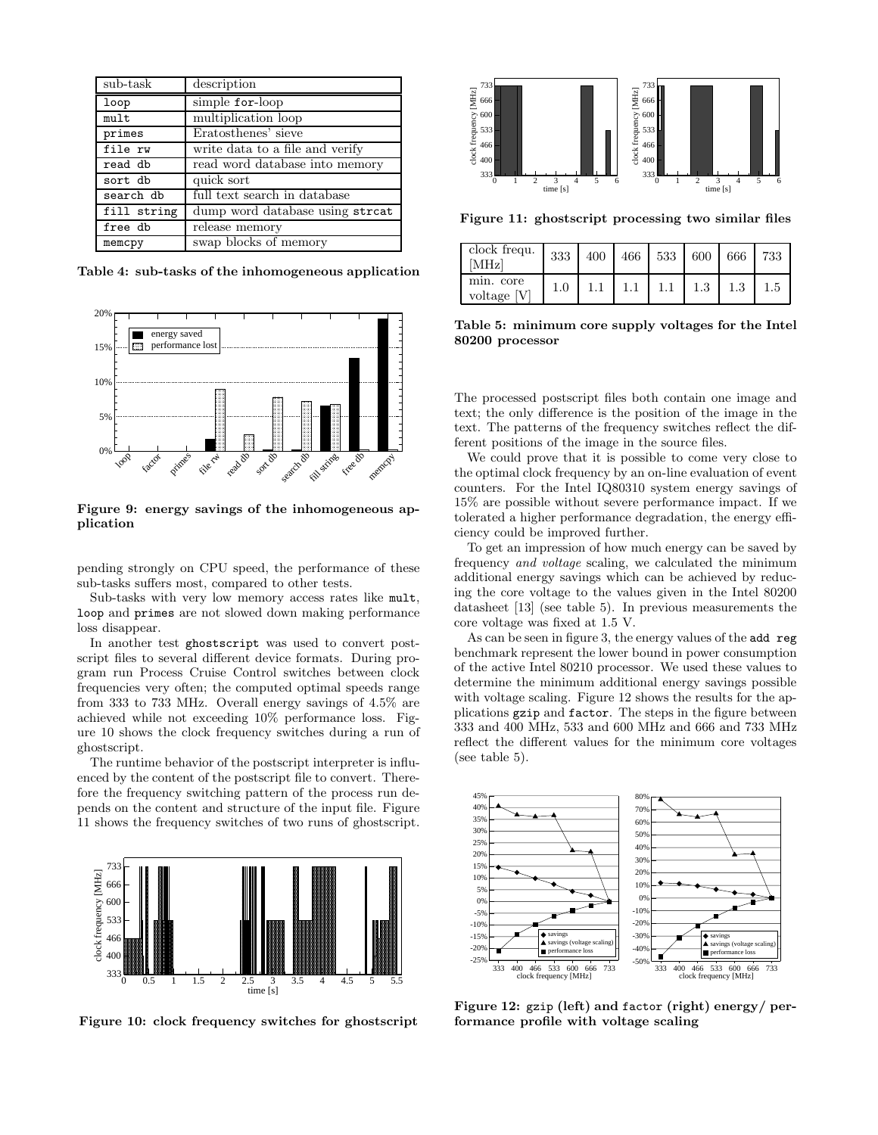| $\overline{\text{sub-task}}$ | description                     |
|------------------------------|---------------------------------|
| loop                         | simple for-loop                 |
| mult                         | multiplication loop             |
| primes                       | Eratosthenes' sieve             |
| file rw                      | write data to a file and verify |
| read db                      | read word database into memory  |
| sort db                      | quick sort                      |
| search db                    | full text search in database    |
| fill string                  | dump word database using strcat |
| free db                      | release memory                  |
| memcpy                       | swap blocks of memory           |

**Table 4: sub-tasks of the inhomogeneous application**



**Figure 9: energy savings of the inhomogeneous application**

pending strongly on CPU speed, the performance of these sub-tasks suffers most, compared to other tests.

Sub-tasks with very low memory access rates like mult, loop and primes are not slowed down making performance loss disappear.

In another test ghostscript was used to convert postscript files to several different device formats. During program run Process Cruise Control switches between clock frequencies very often; the computed optimal speeds range from 333 to 733 MHz. Overall energy savings of 4.5% are achieved while not exceeding 10% performance loss. Figure 10 shows the clock frequency switches during a run of ghostscript.

The runtime behavior of the postscript interpreter is influenced by the content of the postscript file to convert. Therefore the frequency switching pattern of the process run depends on the content and structure of the input file. Figure 11 shows the frequency switches of two runs of ghostscript.



**Figure 10: clock frequency switches for ghostscript**



**Figure 11: ghostscript processing two similar files**

| $\overline{\text{clock}}$ frequ.<br>[MHz] |     |  |  | 333   400   466   533   600   666   733 |     |
|-------------------------------------------|-----|--|--|-----------------------------------------|-----|
| min. core<br>voltage [V]                  | 1.0 |  |  | 1.1   1.1   1.1   1.3   1.3             | 1.5 |

**Table 5: minimum core supply voltages for the Intel 80200 processor**

The processed postscript files both contain one image and text; the only difference is the position of the image in the text. The patterns of the frequency switches reflect the different positions of the image in the source files.

We could prove that it is possible to come very close to the optimal clock frequency by an on-line evaluation of event counters. For the Intel IQ80310 system energy savings of 15% are possible without severe performance impact. If we tolerated a higher performance degradation, the energy efficiency could be improved further.

To get an impression of how much energy can be saved by frequency and voltage scaling, we calculated the minimum additional energy savings which can be achieved by reducing the core voltage to the values given in the Intel 80200 datasheet [13] (see table 5). In previous measurements the core voltage was fixed at 1.5 V.

As can be seen in figure 3, the energy values of the add reg benchmark represent the lower bound in power consumption of the active Intel 80210 processor. We used these values to determine the minimum additional energy savings possible with voltage scaling. Figure 12 shows the results for the applications gzip and factor. The steps in the figure between 333 and 400 MHz, 533 and 600 MHz and 666 and 733 MHz reflect the different values for the minimum core voltages (see table 5).



**Figure 12:** gzip **(left) and** factor **(right) energy/ performance profile with voltage scaling**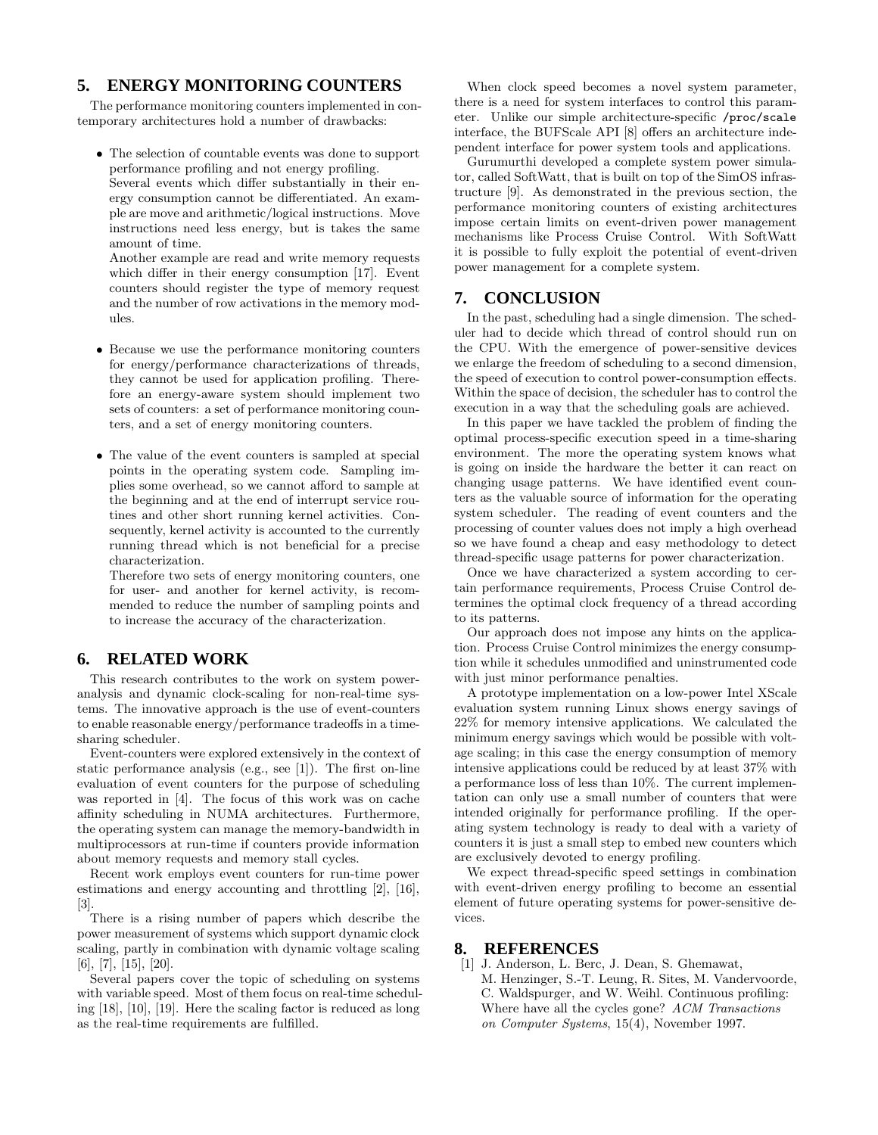## **5. ENERGY MONITORING COUNTERS**

The performance monitoring counters implemented in contemporary architectures hold a number of drawbacks:

*•* The selection of countable events was done to support performance profiling and not energy profiling. Several events which differ substantially in their energy consumption cannot be differentiated. An example are move and arithmetic/logical instructions. Move instructions need less energy, but is takes the same amount of time.

Another example are read and write memory requests which differ in their energy consumption [17]. Event counters should register the type of memory request and the number of row activations in the memory modules.

- *•* Because we use the performance monitoring counters for energy/performance characterizations of threads, they cannot be used for application profiling. Therefore an energy-aware system should implement two sets of counters: a set of performance monitoring counters, and a set of energy monitoring counters.
- *•* The value of the event counters is sampled at special points in the operating system code. Sampling implies some overhead, so we cannot afford to sample at the beginning and at the end of interrupt service routines and other short running kernel activities. Consequently, kernel activity is accounted to the currently running thread which is not beneficial for a precise characterization.

Therefore two sets of energy monitoring counters, one for user- and another for kernel activity, is recommended to reduce the number of sampling points and to increase the accuracy of the characterization.

## **6. RELATED WORK**

This research contributes to the work on system poweranalysis and dynamic clock-scaling for non-real-time systems. The innovative approach is the use of event-counters to enable reasonable energy/performance tradeoffs in a timesharing scheduler.

Event-counters were explored extensively in the context of static performance analysis (e.g., see [1]). The first on-line evaluation of event counters for the purpose of scheduling was reported in [4]. The focus of this work was on cache affinity scheduling in NUMA architectures. Furthermore, the operating system can manage the memory-bandwidth in multiprocessors at run-time if counters provide information about memory requests and memory stall cycles.

Recent work employs event counters for run-time power estimations and energy accounting and throttling [2], [16], [3].

There is a rising number of papers which describe the power measurement of systems which support dynamic clock scaling, partly in combination with dynamic voltage scaling [6], [7], [15], [20].

Several papers cover the topic of scheduling on systems with variable speed. Most of them focus on real-time scheduling [18], [10], [19]. Here the scaling factor is reduced as long as the real-time requirements are fulfilled.

When clock speed becomes a novel system parameter, there is a need for system interfaces to control this parameter. Unlike our simple architecture-specific /proc/scale interface, the BUFScale API [8] offers an architecture independent interface for power system tools and applications.

Gurumurthi developed a complete system power simulator, called SoftWatt, that is built on top of the SimOS infrastructure [9]. As demonstrated in the previous section, the performance monitoring counters of existing architectures impose certain limits on event-driven power management mechanisms like Process Cruise Control. With SoftWatt it is possible to fully exploit the potential of event-driven power management for a complete system.

## **7. CONCLUSION**

In the past, scheduling had a single dimension. The scheduler had to decide which thread of control should run on the CPU. With the emergence of power-sensitive devices we enlarge the freedom of scheduling to a second dimension, the speed of execution to control power-consumption effects. Within the space of decision, the scheduler has to control the execution in a way that the scheduling goals are achieved.

In this paper we have tackled the problem of finding the optimal process-specific execution speed in a time-sharing environment. The more the operating system knows what is going on inside the hardware the better it can react on changing usage patterns. We have identified event counters as the valuable source of information for the operating system scheduler. The reading of event counters and the processing of counter values does not imply a high overhead so we have found a cheap and easy methodology to detect thread-specific usage patterns for power characterization.

Once we have characterized a system according to certain performance requirements, Process Cruise Control determines the optimal clock frequency of a thread according to its patterns.

Our approach does not impose any hints on the application. Process Cruise Control minimizes the energy consumption while it schedules unmodified and uninstrumented code with just minor performance penalties.

A prototype implementation on a low-power Intel XScale evaluation system running Linux shows energy savings of 22% for memory intensive applications. We calculated the minimum energy savings which would be possible with voltage scaling; in this case the energy consumption of memory intensive applications could be reduced by at least 37% with a performance loss of less than 10%. The current implementation can only use a small number of counters that were intended originally for performance profiling. If the operating system technology is ready to deal with a variety of counters it is just a small step to embed new counters which are exclusively devoted to energy profiling.

We expect thread-specific speed settings in combination with event-driven energy profiling to become an essential element of future operating systems for power-sensitive devices.

### **8. REFERENCES**

[1] J. Anderson, L. Berc, J. Dean, S. Ghemawat, M. Henzinger, S.-T. Leung, R. Sites, M. Vandervoorde, C. Waldspurger, and W. Weihl. Continuous profiling: Where have all the cycles gone? ACM Transactions on Computer Systems, 15(4), November 1997.